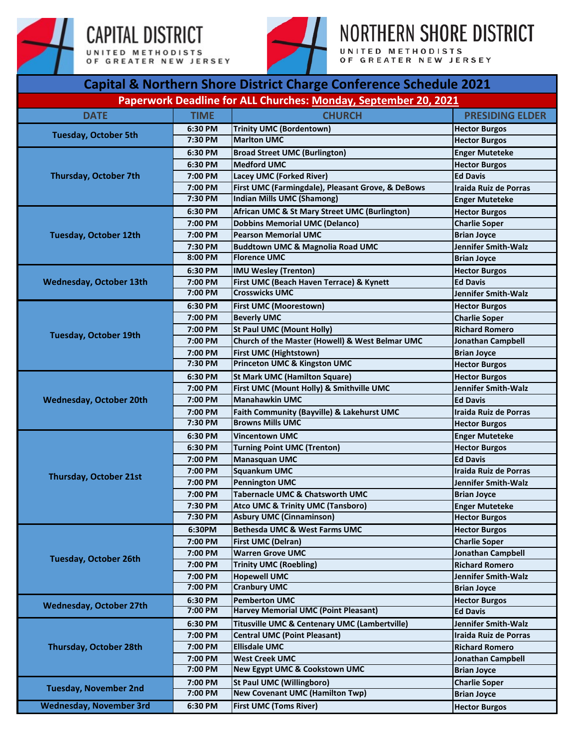





NORTHERN SHORE DISTRICT

UNITED METHODISTS<br>OF GREATER NEW JERSEY

|                                |             | Capital & Northern Shore District Charge Conference Schedule 2021 |                                               |  |
|--------------------------------|-------------|-------------------------------------------------------------------|-----------------------------------------------|--|
|                                |             | Paperwork Deadline for ALL Churches: Monday, September 20, 2021   |                                               |  |
| <b>DATE</b>                    | <b>TIME</b> | <b>CHURCH</b>                                                     | <b>PRESIDING ELDER</b>                        |  |
| <b>Tuesday, October 5th</b>    | 6:30 PM     | <b>Trinity UMC (Bordentown)</b>                                   | <b>Hector Burgos</b>                          |  |
|                                | 7:30 PM     | <b>Marlton UMC</b>                                                | <b>Hector Burgos</b>                          |  |
|                                | 6:30 PM     | <b>Broad Street UMC (Burlington)</b>                              | <b>Enger Muteteke</b>                         |  |
|                                | 6:30 PM     | <b>Medford UMC</b>                                                | <b>Hector Burgos</b>                          |  |
| Thursday, October 7th          | 7:00 PM     | <b>Lacey UMC (Forked River)</b>                                   | <b>Ed Davis</b>                               |  |
|                                | 7:00 PM     | First UMC (Farmingdale), Pleasant Grove, & DeBows                 | <b>Iraida Ruiz de Porras</b>                  |  |
|                                | 7:30 PM     | <b>Indian Mills UMC (Shamong)</b>                                 | <b>Enger Muteteke</b>                         |  |
|                                | 6:30 PM     | African UMC & St Mary Street UMC (Burlington)                     | <b>Hector Burgos</b>                          |  |
|                                | 7:00 PM     | <b>Dobbins Memorial UMC (Delanco)</b>                             | <b>Charlie Soper</b>                          |  |
| <b>Tuesday, October 12th</b>   | 7:00 PM     | <b>Pearson Memorial UMC</b>                                       | <b>Brian Joyce</b>                            |  |
|                                | 7:30 PM     | <b>Buddtown UMC &amp; Magnolia Road UMC</b>                       | <b>Jennifer Smith-Walz</b>                    |  |
|                                | 8:00 PM     | <b>Florence UMC</b>                                               | <b>Brian Joyce</b>                            |  |
|                                | 6:30 PM     | <b>IMU Wesley (Trenton)</b>                                       | <b>Hector Burgos</b>                          |  |
| <b>Wednesday, October 13th</b> | 7:00 PM     | First UMC (Beach Haven Terrace) & Kynett                          | <b>Ed Davis</b>                               |  |
|                                | 7:00 PM     | <b>Crosswicks UMC</b>                                             | <b>Jennifer Smith-Walz</b>                    |  |
|                                | 6:30 PM     | <b>First UMC (Moorestown)</b>                                     |                                               |  |
|                                | 7:00 PM     | <b>Beverly UMC</b>                                                | <b>Hector Burgos</b>                          |  |
|                                | 7:00 PM     |                                                                   | <b>Charlie Soper</b><br><b>Richard Romero</b> |  |
| <b>Tuesday, October 19th</b>   |             | <b>St Paul UMC (Mount Holly)</b>                                  |                                               |  |
|                                | 7:00 PM     | Church of the Master (Howell) & West Belmar UMC                   | Jonathan Campbell                             |  |
|                                | 7:00 PM     | First UMC (Hightstown)<br><b>Princeton UMC &amp; Kingston UMC</b> | <b>Brian Joyce</b>                            |  |
|                                | 7:30 PM     |                                                                   | <b>Hector Burgos</b>                          |  |
|                                | 6:30 PM     | <b>St Mark UMC (Hamilton Square)</b>                              | <b>Hector Burgos</b>                          |  |
|                                | 7:00 PM     | First UMC (Mount Holly) & Smithville UMC                          | Jennifer Smith-Walz                           |  |
| <b>Wednesday, October 20th</b> | 7:00 PM     | <b>Manahawkin UMC</b>                                             | <b>Ed Davis</b>                               |  |
|                                | 7:00 PM     | Faith Community (Bayville) & Lakehurst UMC                        | Iraida Ruiz de Porras                         |  |
|                                | 7:30 PM     | <b>Browns Mills UMC</b>                                           | <b>Hector Burgos</b>                          |  |
|                                | 6:30 PM     | <b>Vincentown UMC</b>                                             | <b>Enger Muteteke</b>                         |  |
|                                | 6:30 PM     | <b>Turning Point UMC (Trenton)</b>                                | <b>Hector Burgos</b>                          |  |
|                                | 7:00 PM     | <b>Manasquan UMC</b>                                              | <b>Ed Davis</b>                               |  |
| <b>Thursday, October 21st</b>  | 7:00 PM     | <b>Squankum UMC</b>                                               | Iraida Ruiz de Porras                         |  |
|                                | 7:00 PM     | <b>Pennington UMC</b>                                             | Jennifer Smith-Walz                           |  |
|                                | 7:00 PM     | Tabernacle UMC & Chatsworth UMC                                   | <b>Brian Joyce</b>                            |  |
|                                | 7:30 PM     | <b>Atco UMC &amp; Trinity UMC (Tansboro)</b>                      | <b>Enger Muteteke</b>                         |  |
|                                | 7:30 PM     | <b>Asbury UMC (Cinnaminson)</b>                                   | <b>Hector Burgos</b>                          |  |
|                                | 6:30PM      | Bethesda UMC & West Farms UMC                                     | <b>Hector Burgos</b>                          |  |
|                                | 7:00 PM     | <b>First UMC (Delran)</b>                                         | <b>Charlie Soper</b>                          |  |
|                                | 7:00 PM     | <b>Warren Grove UMC</b>                                           | <b>Jonathan Campbell</b>                      |  |
| <b>Tuesday, October 26th</b>   | 7:00 PM     | <b>Trinity UMC (Roebling)</b>                                     | <b>Richard Romero</b>                         |  |
|                                | 7:00 PM     | <b>Hopewell UMC</b>                                               | Jennifer Smith-Walz                           |  |
|                                | 7:00 PM     | <b>Cranbury UMC</b>                                               | <b>Brian Joyce</b>                            |  |
|                                | 6:30 PM     | <b>Pemberton UMC</b>                                              | <b>Hector Burgos</b>                          |  |
| <b>Wednesday, October 27th</b> | 7:00 PM     | <b>Harvey Memorial UMC (Point Pleasant)</b>                       | <b>Ed Davis</b>                               |  |
|                                | 6:30 PM     | Titusville UMC & Centenary UMC (Lambertville)                     | <b>Jennifer Smith-Walz</b>                    |  |
|                                | 7:00 PM     | <b>Central UMC (Point Pleasant)</b>                               | Iraida Ruiz de Porras                         |  |
| <b>Thursday, October 28th</b>  | 7:00 PM     | <b>Ellisdale UMC</b>                                              | <b>Richard Romero</b>                         |  |
|                                | 7:00 PM     | <b>West Creek UMC</b>                                             | Jonathan Campbell                             |  |
|                                | 7:00 PM     | <b>New Egypt UMC &amp; Cookstown UMC</b>                          | <b>Brian Joyce</b>                            |  |
|                                | 7:00 PM     | <b>St Paul UMC (Willingboro)</b>                                  | <b>Charlie Soper</b>                          |  |
| <b>Tuesday, November 2nd</b>   | 7:00 PM     | <b>New Covenant UMC (Hamilton Twp)</b>                            | <b>Brian Joyce</b>                            |  |
|                                |             | <b>First UMC (Toms River)</b>                                     |                                               |  |
| <b>Wednesday, November 3rd</b> | 6:30 PM     |                                                                   | <b>Hector Burgos</b>                          |  |